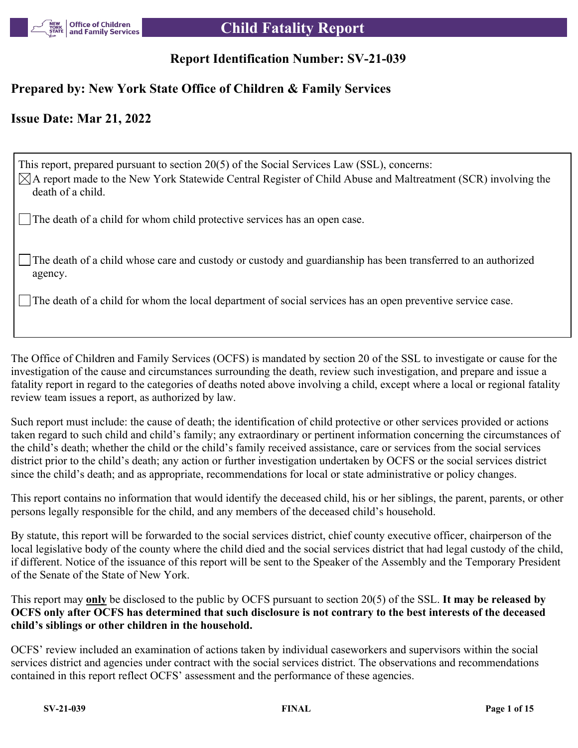

# **Report Identification Number: SV-21-039**

# **Prepared by: New York State Office of Children & Family Services**

# **Issue Date: Mar 21, 2022**

This report, prepared pursuant to section 20(5) of the Social Services Law (SSL), concerns:  $\boxtimes$ A report made to the New York Statewide Central Register of Child Abuse and Maltreatment (SCR) involving the death of a child.

The death of a child for whom child protective services has an open case.

The death of a child whose care and custody or custody and guardianship has been transferred to an authorized agency.

The death of a child for whom the local department of social services has an open preventive service case.

The Office of Children and Family Services (OCFS) is mandated by section 20 of the SSL to investigate or cause for the investigation of the cause and circumstances surrounding the death, review such investigation, and prepare and issue a fatality report in regard to the categories of deaths noted above involving a child, except where a local or regional fatality review team issues a report, as authorized by law.

Such report must include: the cause of death; the identification of child protective or other services provided or actions taken regard to such child and child's family; any extraordinary or pertinent information concerning the circumstances of the child's death; whether the child or the child's family received assistance, care or services from the social services district prior to the child's death; any action or further investigation undertaken by OCFS or the social services district since the child's death; and as appropriate, recommendations for local or state administrative or policy changes.

This report contains no information that would identify the deceased child, his or her siblings, the parent, parents, or other persons legally responsible for the child, and any members of the deceased child's household.

By statute, this report will be forwarded to the social services district, chief county executive officer, chairperson of the local legislative body of the county where the child died and the social services district that had legal custody of the child, if different. Notice of the issuance of this report will be sent to the Speaker of the Assembly and the Temporary President of the Senate of the State of New York.

This report may **only** be disclosed to the public by OCFS pursuant to section 20(5) of the SSL. **It may be released by OCFS only after OCFS has determined that such disclosure is not contrary to the best interests of the deceased child's siblings or other children in the household.**

OCFS' review included an examination of actions taken by individual caseworkers and supervisors within the social services district and agencies under contract with the social services district. The observations and recommendations contained in this report reflect OCFS' assessment and the performance of these agencies.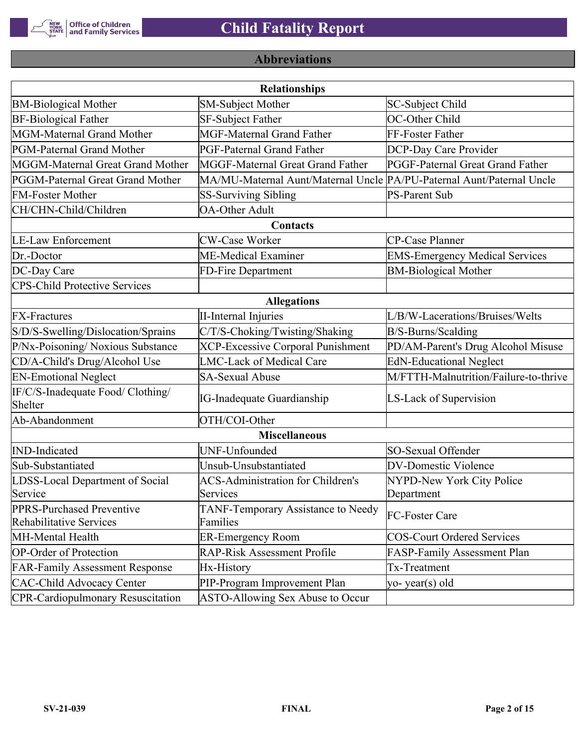

# **Abbreviations**

| <b>Relationships</b>                                        |                                                                       |                                       |  |  |  |
|-------------------------------------------------------------|-----------------------------------------------------------------------|---------------------------------------|--|--|--|
| <b>BM-Biological Mother</b>                                 | SM-Subject Mother                                                     | SC-Subject Child                      |  |  |  |
| <b>BF-Biological Father</b>                                 | SF-Subject Father                                                     | OC-Other Child                        |  |  |  |
| MGM-Maternal Grand Mother                                   | <b>MGF-Maternal Grand Father</b>                                      | FF-Foster Father                      |  |  |  |
| PGM-Paternal Grand Mother                                   | PGF-Paternal Grand Father                                             | DCP-Day Care Provider                 |  |  |  |
| MGGM-Maternal Great Grand Mother                            | MGGF-Maternal Great Grand Father                                      | PGGF-Paternal Great Grand Father      |  |  |  |
| PGGM-Paternal Great Grand Mother                            | MA/MU-Maternal Aunt/Maternal Uncle PA/PU-Paternal Aunt/Paternal Uncle |                                       |  |  |  |
| <b>FM-Foster Mother</b>                                     | <b>SS-Surviving Sibling</b>                                           | <b>PS-Parent Sub</b>                  |  |  |  |
| CH/CHN-Child/Children                                       | <b>OA-Other Adult</b>                                                 |                                       |  |  |  |
|                                                             | Contacts                                                              |                                       |  |  |  |
| <b>LE-Law Enforcement</b>                                   | <b>CW-Case Worker</b>                                                 | CP-Case Planner                       |  |  |  |
| Dr.-Doctor                                                  | ME-Medical Examiner                                                   | <b>EMS-Emergency Medical Services</b> |  |  |  |
| DC-Day Care                                                 | FD-Fire Department                                                    | <b>BM-Biological Mother</b>           |  |  |  |
| <b>CPS-Child Protective Services</b>                        |                                                                       |                                       |  |  |  |
|                                                             | <b>Allegations</b>                                                    |                                       |  |  |  |
| <b>FX-Fractures</b>                                         | <b>II-Internal Injuries</b>                                           | L/B/W-Lacerations/Bruises/Welts       |  |  |  |
| S/D/S-Swelling/Dislocation/Sprains                          | C/T/S-Choking/Twisting/Shaking                                        | B/S-Burns/Scalding                    |  |  |  |
| P/Nx-Poisoning/ Noxious Substance                           | <b>XCP-Excessive Corporal Punishment</b>                              | PD/AM-Parent's Drug Alcohol Misuse    |  |  |  |
| CD/A-Child's Drug/Alcohol Use                               | <b>LMC-Lack of Medical Care</b>                                       | <b>EdN-Educational Neglect</b>        |  |  |  |
| <b>EN-Emotional Neglect</b>                                 | <b>SA-Sexual Abuse</b>                                                | M/FTTH-Malnutrition/Failure-to-thrive |  |  |  |
| IF/C/S-Inadequate Food/ Clothing/<br>Shelter                | <b>IG-Inadequate Guardianship</b>                                     | LS-Lack of Supervision                |  |  |  |
| Ab-Abandonment                                              | OTH/COI-Other                                                         |                                       |  |  |  |
|                                                             | <b>Miscellaneous</b>                                                  |                                       |  |  |  |
| <b>IND-Indicated</b>                                        | UNF-Unfounded                                                         | SO-Sexual Offender                    |  |  |  |
| Sub-Substantiated                                           | Unsub-Unsubstantiated                                                 | <b>DV-Domestic Violence</b>           |  |  |  |
| LDSS-Local Department of Social                             | <b>ACS-Administration for Children's</b>                              | NYPD-New York City Police             |  |  |  |
| Service                                                     | Services                                                              | Department                            |  |  |  |
| PPRS-Purchased Preventive<br><b>Rehabilitative Services</b> | TANF-Temporary Assistance to Needy<br>Families                        | FC-Foster Care                        |  |  |  |
| MH-Mental Health                                            | <b>ER-Emergency Room</b>                                              | <b>COS-Court Ordered Services</b>     |  |  |  |
| <b>OP-Order of Protection</b>                               | <b>RAP-Risk Assessment Profile</b>                                    | FASP-Family Assessment Plan           |  |  |  |
| <b>FAR-Family Assessment Response</b>                       | Hx-History                                                            | Tx-Treatment                          |  |  |  |
| <b>CAC-Child Advocacy Center</b>                            | PIP-Program Improvement Plan                                          | yo-year(s) old                        |  |  |  |
| <b>CPR-Cardiopulmonary Resuscitation</b>                    | ASTO-Allowing Sex Abuse to Occur                                      |                                       |  |  |  |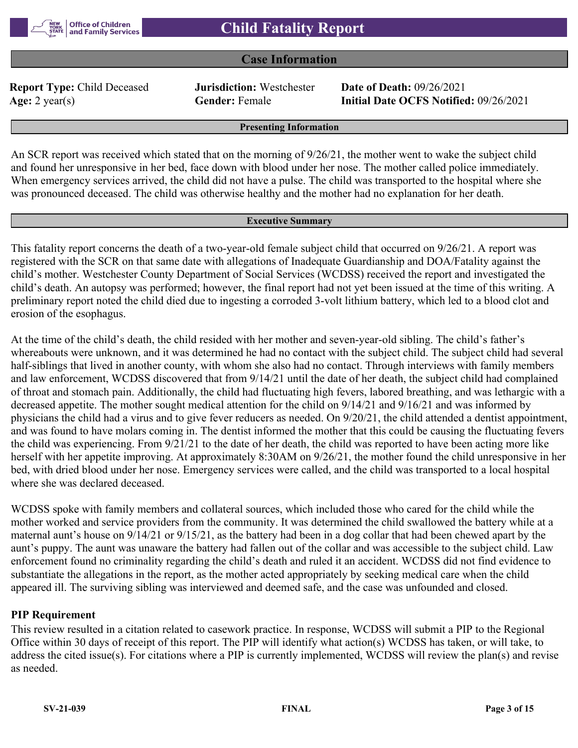# **Case Information**

**Report Type:** Child Deceased **Jurisdiction:** Westchester **Date of Death:** 09/26/2021

**Age:** 2 year(s) **Gender:** Female **Initial Date OCFS Notified:** 09/26/2021

#### **Presenting Information**

An SCR report was received which stated that on the morning of 9/26/21, the mother went to wake the subject child and found her unresponsive in her bed, face down with blood under her nose. The mother called police immediately. When emergency services arrived, the child did not have a pulse. The child was transported to the hospital where she was pronounced deceased. The child was otherwise healthy and the mother had no explanation for her death.

#### **Executive Summary**

This fatality report concerns the death of a two-year-old female subject child that occurred on 9/26/21. A report was registered with the SCR on that same date with allegations of Inadequate Guardianship and DOA/Fatality against the child's mother. Westchester County Department of Social Services (WCDSS) received the report and investigated the child's death. An autopsy was performed; however, the final report had not yet been issued at the time of this writing. A preliminary report noted the child died due to ingesting a corroded 3-volt lithium battery, which led to a blood clot and erosion of the esophagus.

At the time of the child's death, the child resided with her mother and seven-year-old sibling. The child's father's whereabouts were unknown, and it was determined he had no contact with the subject child. The subject child had several half-siblings that lived in another county, with whom she also had no contact. Through interviews with family members and law enforcement, WCDSS discovered that from 9/14/21 until the date of her death, the subject child had complained of throat and stomach pain. Additionally, the child had fluctuating high fevers, labored breathing, and was lethargic with a decreased appetite. The mother sought medical attention for the child on 9/14/21 and 9/16/21 and was informed by physicians the child had a virus and to give fever reducers as needed. On 9/20/21, the child attended a dentist appointment, and was found to have molars coming in. The dentist informed the mother that this could be causing the fluctuating fevers the child was experiencing. From 9/21/21 to the date of her death, the child was reported to have been acting more like herself with her appetite improving. At approximately 8:30AM on 9/26/21, the mother found the child unresponsive in her bed, with dried blood under her nose. Emergency services were called, and the child was transported to a local hospital where she was declared deceased.

WCDSS spoke with family members and collateral sources, which included those who cared for the child while the mother worked and service providers from the community. It was determined the child swallowed the battery while at a maternal aunt's house on 9/14/21 or 9/15/21, as the battery had been in a dog collar that had been chewed apart by the aunt's puppy. The aunt was unaware the battery had fallen out of the collar and was accessible to the subject child. Law enforcement found no criminality regarding the child's death and ruled it an accident. WCDSS did not find evidence to substantiate the allegations in the report, as the mother acted appropriately by seeking medical care when the child appeared ill. The surviving sibling was interviewed and deemed safe, and the case was unfounded and closed.

### **PIP Requirement**

This review resulted in a citation related to casework practice. In response, WCDSS will submit a PIP to the Regional Office within 30 days of receipt of this report. The PIP will identify what action(s) WCDSS has taken, or will take, to address the cited issue(s). For citations where a PIP is currently implemented, WCDSS will review the plan(s) and revise as needed.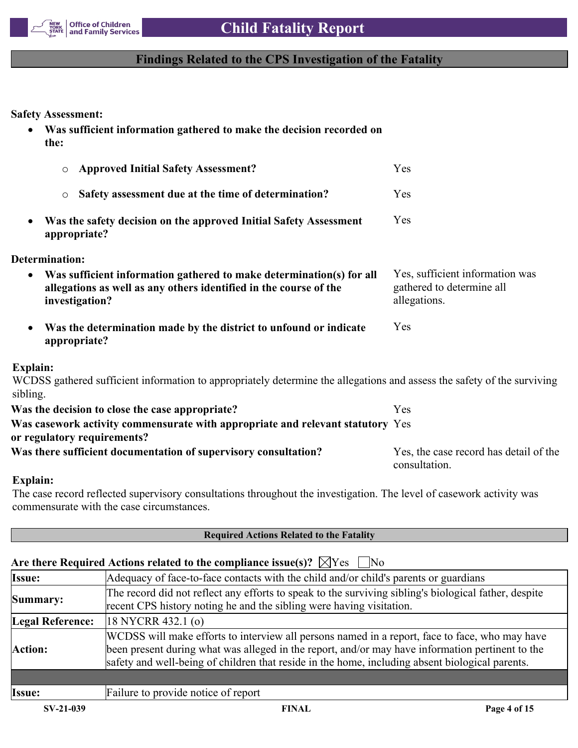

# **Findings Related to the CPS Investigation of the Fatality**

**Safety Assessment:**

|                      | Was sufficient information gathered to make the decision recorded on<br>the:                                                                                |                                                                              |
|----------------------|-------------------------------------------------------------------------------------------------------------------------------------------------------------|------------------------------------------------------------------------------|
|                      | <b>Approved Initial Safety Assessment?</b><br>$\circ$                                                                                                       | Yes                                                                          |
|                      | Safety assessment due at the time of determination?<br>$\circ$                                                                                              | Yes                                                                          |
|                      | Was the safety decision on the approved Initial Safety Assessment<br>appropriate?                                                                           | Yes                                                                          |
|                      | <b>Determination:</b>                                                                                                                                       |                                                                              |
| ٠                    | Was sufficient information gathered to make determination(s) for all<br>allegations as well as any others identified in the course of the<br>investigation? | Yes, sufficient information was<br>gathered to determine all<br>allegations. |
|                      | Was the determination made by the district to unfound or indicate<br>appropriate?                                                                           | Yes                                                                          |
| Explain:<br>sibling. | WCDSS gathered sufficient information to appropriately determine the allegations and assess the safety of the surviving                                     |                                                                              |
|                      | Was the decision to close the case appropriate?                                                                                                             | Yes                                                                          |
|                      | Was casework activity commensurate with appropriate and relevant statutory Yes<br>or regulatory requirements?                                               |                                                                              |
|                      | Was there sufficient documentation of supervisory consultation?                                                                                             | Yes, the case record has detail of the<br>consultation.                      |

# **Explain:**

The case record reflected supervisory consultations throughout the investigation. The level of casework activity was commensurate with the case circumstances.

|                  | <b>Required Actions Related to the Fatality</b>                                                                                                                                                                                                                                                       |              |  |  |  |  |
|------------------|-------------------------------------------------------------------------------------------------------------------------------------------------------------------------------------------------------------------------------------------------------------------------------------------------------|--------------|--|--|--|--|
|                  | Are there Required Actions related to the compliance issue(s)? $\boxtimes$ Yes $\Box$ No                                                                                                                                                                                                              |              |  |  |  |  |
| Issue:           | Adequacy of face-to-face contacts with the child and/or child's parents or guardians                                                                                                                                                                                                                  |              |  |  |  |  |
| Summary:         | The record did not reflect any efforts to speak to the surviving sibling's biological father, despite<br>recent CPS history noting he and the sibling were having visitation.                                                                                                                         |              |  |  |  |  |
| Legal Reference: | 18 NYCRR 432.1 (o)                                                                                                                                                                                                                                                                                    |              |  |  |  |  |
| Action:          | WCDSS will make efforts to interview all persons named in a report, face to face, who may have<br>been present during what was alleged in the report, and/or may have information pertinent to the<br>safety and well-being of children that reside in the home, including absent biological parents. |              |  |  |  |  |
|                  |                                                                                                                                                                                                                                                                                                       |              |  |  |  |  |
| <b>Issue:</b>    | Failure to provide notice of report                                                                                                                                                                                                                                                                   |              |  |  |  |  |
| SV-21-039        | <b>FINAL</b>                                                                                                                                                                                                                                                                                          | Page 4 of 15 |  |  |  |  |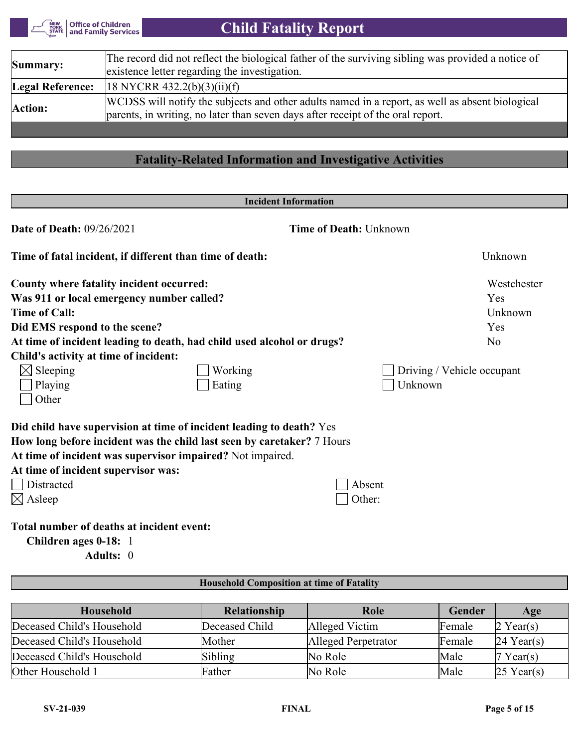**Office of Children**<br>and Family Services NEW<br>YORK<br>STATE

# **Child Fatality Report**

| <b>Summary:</b>         | The record did not reflect the biological father of the surviving sibling was provided a notice of<br>existence letter regarding the investigation.                                |
|-------------------------|------------------------------------------------------------------------------------------------------------------------------------------------------------------------------------|
| <b>Legal Reference:</b> | $18$ NYCRR 432.2(b)(3)(ii)(f)                                                                                                                                                      |
| <b>Action:</b>          | WCDSS will notify the subjects and other adults named in a report, as well as absent biological<br>parents, in writing, no later than seven days after receipt of the oral report. |

# **Fatality-Related Information and Investigative Activities**

| <b>Incident Information</b>                                            |         |                               |                            |  |
|------------------------------------------------------------------------|---------|-------------------------------|----------------------------|--|
| <b>Date of Death: 09/26/2021</b>                                       |         | <b>Time of Death: Unknown</b> |                            |  |
| Time of fatal incident, if different than time of death:               |         |                               | Unknown                    |  |
| County where fatality incident occurred:                               |         |                               | Westchester                |  |
| Was 911 or local emergency number called?                              |         |                               | Yes                        |  |
| <b>Time of Call:</b>                                                   |         |                               | Unknown                    |  |
| Did EMS respond to the scene?                                          |         |                               | Yes                        |  |
| At time of incident leading to death, had child used alcohol or drugs? |         |                               | N <sub>o</sub>             |  |
| Child's activity at time of incident:                                  |         |                               |                            |  |
| $\boxtimes$ Sleeping                                                   | Working |                               | Driving / Vehicle occupant |  |
| Playing                                                                | Eating  | Unknown                       |                            |  |
| Other                                                                  |         |                               |                            |  |
| Did child have supervision at time of incident leading to death? Yes   |         |                               |                            |  |
| How long before incident was the child last seen by caretaker? 7 Hours |         |                               |                            |  |
| At time of incident was supervisor impaired? Not impaired.             |         |                               |                            |  |
| At time of incident supervisor was:                                    |         |                               |                            |  |
| Distracted                                                             |         | Absent                        |                            |  |
| $\boxtimes$ Asleep                                                     |         | Other:                        |                            |  |
| Total number of deaths at incident event:<br>Children ages 0-18: 1     |         |                               |                            |  |

**Adults:** 0

# **Household Composition at time of Fatality**

| Household                  | Relationship   | Role                | <b>Gender</b> | Age                    |
|----------------------------|----------------|---------------------|---------------|------------------------|
| Deceased Child's Household | Deceased Child | Alleged Victim      | Female        | $2$ Year(s)            |
| Deceased Child's Household | Mother         | Alleged Perpetrator | Female        | $24$ Year(s)           |
| Deceased Child's Household | Sibling        | No Role             | Male          | 7 Year(s)              |
| Other Household 1          | Father         | No Role             | Male          | $ 25 \text{ Year}(s) $ |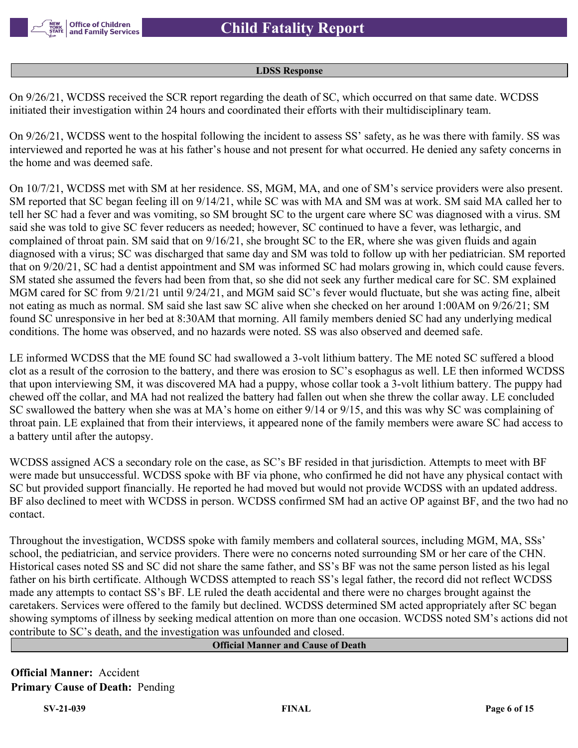

#### **LDSS Response**

On 9/26/21, WCDSS received the SCR report regarding the death of SC, which occurred on that same date. WCDSS initiated their investigation within 24 hours and coordinated their efforts with their multidisciplinary team.

On 9/26/21, WCDSS went to the hospital following the incident to assess SS' safety, as he was there with family. SS was interviewed and reported he was at his father's house and not present for what occurred. He denied any safety concerns in the home and was deemed safe.

On 10/7/21, WCDSS met with SM at her residence. SS, MGM, MA, and one of SM's service providers were also present. SM reported that SC began feeling ill on 9/14/21, while SC was with MA and SM was at work. SM said MA called her to tell her SC had a fever and was vomiting, so SM brought SC to the urgent care where SC was diagnosed with a virus. SM said she was told to give SC fever reducers as needed; however, SC continued to have a fever, was lethargic, and complained of throat pain. SM said that on 9/16/21, she brought SC to the ER, where she was given fluids and again diagnosed with a virus; SC was discharged that same day and SM was told to follow up with her pediatrician. SM reported that on 9/20/21, SC had a dentist appointment and SM was informed SC had molars growing in, which could cause fevers. SM stated she assumed the fevers had been from that, so she did not seek any further medical care for SC. SM explained MGM cared for SC from 9/21/21 until 9/24/21, and MGM said SC's fever would fluctuate, but she was acting fine, albeit not eating as much as normal. SM said she last saw SC alive when she checked on her around 1:00AM on 9/26/21; SM found SC unresponsive in her bed at 8:30AM that morning. All family members denied SC had any underlying medical conditions. The home was observed, and no hazards were noted. SS was also observed and deemed safe.

LE informed WCDSS that the ME found SC had swallowed a 3-volt lithium battery. The ME noted SC suffered a blood clot as a result of the corrosion to the battery, and there was erosion to SC's esophagus as well. LE then informed WCDSS that upon interviewing SM, it was discovered MA had a puppy, whose collar took a 3-volt lithium battery. The puppy had chewed off the collar, and MA had not realized the battery had fallen out when she threw the collar away. LE concluded SC swallowed the battery when she was at MA's home on either 9/14 or 9/15, and this was why SC was complaining of throat pain. LE explained that from their interviews, it appeared none of the family members were aware SC had access to a battery until after the autopsy.

WCDSS assigned ACS a secondary role on the case, as SC's BF resided in that jurisdiction. Attempts to meet with BF were made but unsuccessful. WCDSS spoke with BF via phone, who confirmed he did not have any physical contact with SC but provided support financially. He reported he had moved but would not provide WCDSS with an updated address. BF also declined to meet with WCDSS in person. WCDSS confirmed SM had an active OP against BF, and the two had no contact.

Throughout the investigation, WCDSS spoke with family members and collateral sources, including MGM, MA, SSs' school, the pediatrician, and service providers. There were no concerns noted surrounding SM or her care of the CHN. Historical cases noted SS and SC did not share the same father, and SS's BF was not the same person listed as his legal father on his birth certificate. Although WCDSS attempted to reach SS's legal father, the record did not reflect WCDSS made any attempts to contact SS's BF. LE ruled the death accidental and there were no charges brought against the caretakers. Services were offered to the family but declined. WCDSS determined SM acted appropriately after SC began showing symptoms of illness by seeking medical attention on more than one occasion. WCDSS noted SM's actions did not contribute to SC's death, and the investigation was unfounded and closed.

#### **Official Manner and Cause of Death**

**Official Manner:** Accident **Primary Cause of Death:** Pending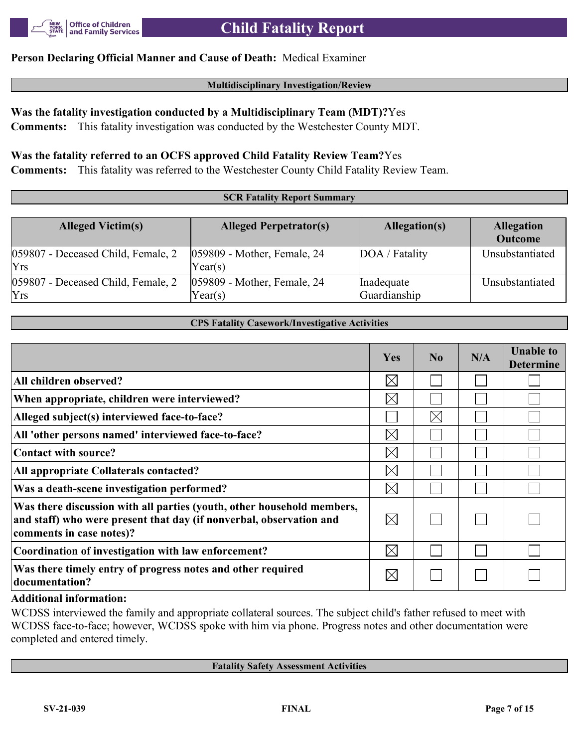

# **Person Declaring Official Manner and Cause of Death:** Medical Examiner

# **Multidisciplinary Investigation/Review**

**Was the fatality investigation conducted by a Multidisciplinary Team (MDT)?**Yes **Comments:** This fatality investigation was conducted by the Westchester County MDT.

**Was the fatality referred to an OCFS approved Child Fatality Review Team?**Yes **Comments:** This fatality was referred to the Westchester County Child Fatality Review Team.

#### **SCR Fatality Report Summary**

| <b>Alleged Victim(s)</b>                         | <b>Alleged Perpetrator(s)</b>                      | Allegation(s)              | <b>Allegation</b><br><b>Outcome</b> |
|--------------------------------------------------|----------------------------------------------------|----------------------------|-------------------------------------|
| 059807 - Deceased Child, Female, 2<br><b>Yrs</b> | $ 059809$ - Mother, Female, 24<br>Year(s)          | DOA / Fatality             | Unsubstantiated                     |
| 059807 - Deceased Child, Female, 2<br><b>Yrs</b> | $ 059809$ - Mother, Female, 24<br>$\text{Year}(s)$ | Inadequate<br>Guardianship | Unsubstantiated                     |

#### **CPS Fatality Casework/Investigative Activities**

|                                                                                                                                                                           | <b>Yes</b>  | No          | N/A | <b>Unable to</b><br><b>Determine</b> |
|---------------------------------------------------------------------------------------------------------------------------------------------------------------------------|-------------|-------------|-----|--------------------------------------|
| All children observed?                                                                                                                                                    | $\times$    |             |     |                                      |
| When appropriate, children were interviewed?                                                                                                                              | $\boxtimes$ |             |     |                                      |
| Alleged subject(s) interviewed face-to-face?                                                                                                                              |             | $\boxtimes$ |     |                                      |
| All 'other persons named' interviewed face-to-face?                                                                                                                       | $\boxtimes$ |             |     |                                      |
| Contact with source?                                                                                                                                                      | $\boxtimes$ |             |     |                                      |
| All appropriate Collaterals contacted?                                                                                                                                    | $\boxtimes$ |             |     |                                      |
| Was a death-scene investigation performed?                                                                                                                                | $\boxtimes$ |             |     |                                      |
| Was there discussion with all parties (youth, other household members,<br>and staff) who were present that day (if nonverbal, observation and<br>comments in case notes)? | $\boxtimes$ |             |     |                                      |
| Coordination of investigation with law enforcement?                                                                                                                       | $\boxtimes$ |             |     |                                      |
| Was there timely entry of progress notes and other required<br>documentation?                                                                                             | $\boxtimes$ |             |     |                                      |

### **Additional information:**

WCDSS interviewed the family and appropriate collateral sources. The subject child's father refused to meet with WCDSS face-to-face; however, WCDSS spoke with him via phone. Progress notes and other documentation were completed and entered timely.

**Fatality Safety Assessment Activities**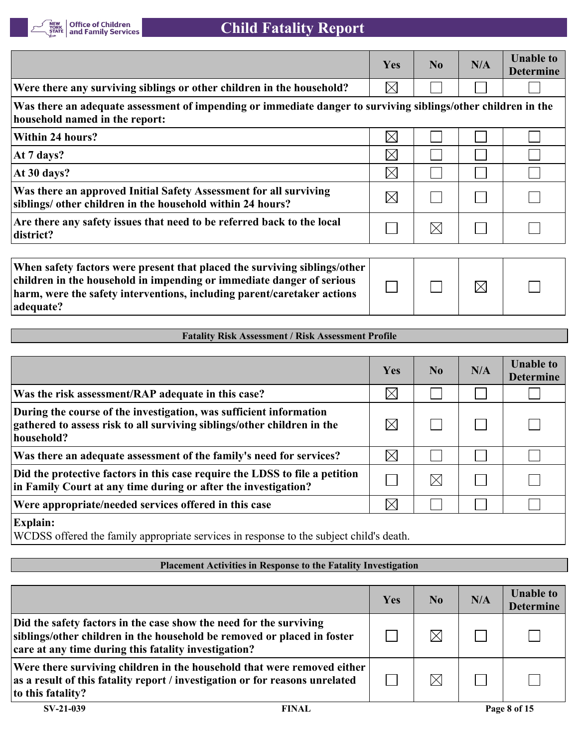

|                                                                                                                                                                                                                                            | Yes         | N <sub>0</sub> | N/A         | <b>Unable to</b><br><b>Determine</b> |
|--------------------------------------------------------------------------------------------------------------------------------------------------------------------------------------------------------------------------------------------|-------------|----------------|-------------|--------------------------------------|
| Were there any surviving siblings or other children in the household?                                                                                                                                                                      | $\boxtimes$ |                |             |                                      |
| Was there an adequate assessment of impending or immediate danger to surviving siblings/other children in the<br>household named in the report:                                                                                            |             |                |             |                                      |
| Within 24 hours?                                                                                                                                                                                                                           | $\times$    |                |             |                                      |
| At 7 days?                                                                                                                                                                                                                                 | $\boxtimes$ |                |             |                                      |
| At $30$ days?                                                                                                                                                                                                                              | $\boxtimes$ |                |             |                                      |
| Was there an approved Initial Safety Assessment for all surviving<br>siblings/ other children in the household within 24 hours?                                                                                                            | $\boxtimes$ |                |             |                                      |
| Are there any safety issues that need to be referred back to the local<br>district?                                                                                                                                                        |             | $\boxtimes$    |             |                                      |
|                                                                                                                                                                                                                                            |             |                |             |                                      |
| When safety factors were present that placed the surviving siblings/other<br>children in the household in impending or immediate danger of serious<br>harm, were the safety interventions, including parent/caretaker actions<br>adequate? |             |                | $\boxtimes$ |                                      |

### **Fatality Risk Assessment / Risk Assessment Profile**

|                                                                                                                                                             | Yes         | N <sub>0</sub> | N/A | <b>Unable to</b><br><b>Determine</b> |  |
|-------------------------------------------------------------------------------------------------------------------------------------------------------------|-------------|----------------|-----|--------------------------------------|--|
| Was the risk assessment/RAP adequate in this case?                                                                                                          | $\boxtimes$ |                |     |                                      |  |
| During the course of the investigation, was sufficient information<br>gathered to assess risk to all surviving siblings/other children in the<br>household? | $\bowtie$   |                |     |                                      |  |
| Was there an adequate assessment of the family's need for services?                                                                                         | $\boxtimes$ |                |     |                                      |  |
| Did the protective factors in this case require the LDSS to file a petition<br>in Family Court at any time during or after the investigation?               |             | $\boxtimes$    |     |                                      |  |
| Were appropriate/needed services offered in this case                                                                                                       | $\boxtimes$ |                |     |                                      |  |
| <b>Explain:</b><br>WCDSS offered the family appropriate services in response to the subject child's death.                                                  |             |                |     |                                      |  |

#### **Placement Activities in Response to the Fatality Investigation**

|                                                                                                                                                                                                       | Yes | N <sub>0</sub> | N/A | <b>Unable to</b><br><b>Determine</b> |
|-------------------------------------------------------------------------------------------------------------------------------------------------------------------------------------------------------|-----|----------------|-----|--------------------------------------|
| Did the safety factors in the case show the need for the surviving<br>siblings/other children in the household be removed or placed in foster<br>care at any time during this fatality investigation? |     | $\boxtimes$    |     |                                      |
| Were there surviving children in the household that were removed either<br>as a result of this fatality report / investigation or for reasons unrelated<br>to this fatality?                          |     | $\boxtimes$    |     |                                      |
| $SV-21-039$<br><b>FINAL</b>                                                                                                                                                                           |     |                |     | Page 8 of 15                         |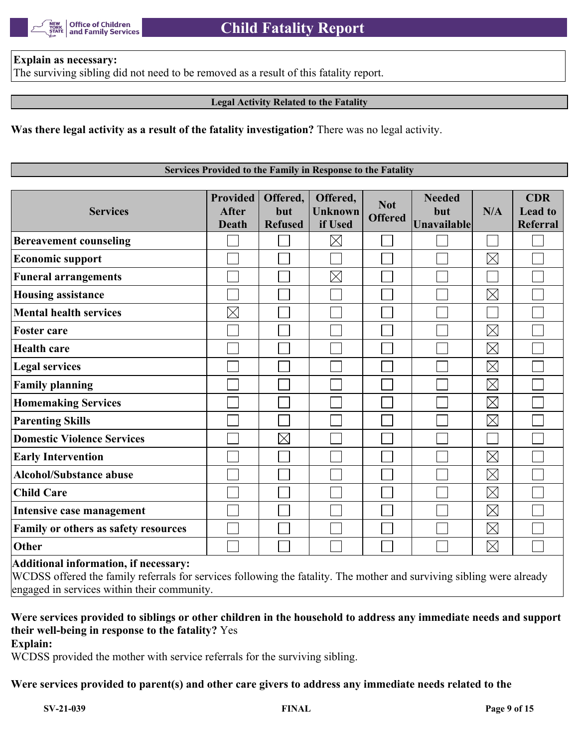

#### **Explain as necessary:**

The surviving sibling did not need to be removed as a result of this fatality report.

#### **Legal Activity Related to the Fatality**

**Was there legal activity as a result of the fatality investigation?** There was no legal activity.

#### **Services Provided to the Family in Response to the Fatality**

| <b>Services</b>                      | <b>Provided</b><br><b>After</b><br><b>Death</b> | Offered,<br>but<br><b>Refused</b> | Offered,<br><b>Unknown</b><br>if Used | <b>Not</b><br><b>Offered</b> | <b>Needed</b><br>but<br><b>Unavailable</b> | N/A         | <b>CDR</b><br><b>Lead to</b><br><b>Referral</b> |
|--------------------------------------|-------------------------------------------------|-----------------------------------|---------------------------------------|------------------------------|--------------------------------------------|-------------|-------------------------------------------------|
| <b>Bereavement counseling</b>        |                                                 |                                   | $\boxtimes$                           |                              |                                            |             |                                                 |
| <b>Economic support</b>              |                                                 |                                   |                                       |                              |                                            | $\boxtimes$ |                                                 |
| <b>Funeral arrangements</b>          |                                                 |                                   | $\times$                              |                              |                                            |             |                                                 |
| <b>Housing assistance</b>            |                                                 |                                   |                                       |                              |                                            | $\boxtimes$ |                                                 |
| <b>Mental health services</b>        | $\boxtimes$                                     |                                   |                                       |                              |                                            |             |                                                 |
| <b>Foster care</b>                   |                                                 |                                   |                                       |                              |                                            | $\boxtimes$ |                                                 |
| <b>Health care</b>                   |                                                 |                                   |                                       |                              |                                            | $\boxtimes$ |                                                 |
| <b>Legal services</b>                |                                                 |                                   |                                       |                              |                                            | $\boxtimes$ |                                                 |
| <b>Family planning</b>               |                                                 |                                   |                                       |                              |                                            | $\boxtimes$ |                                                 |
| <b>Homemaking Services</b>           |                                                 |                                   |                                       |                              |                                            | $\boxtimes$ |                                                 |
| <b>Parenting Skills</b>              |                                                 |                                   |                                       |                              |                                            | $\boxtimes$ |                                                 |
| <b>Domestic Violence Services</b>    |                                                 | $\boxtimes$                       |                                       |                              |                                            |             |                                                 |
| <b>Early Intervention</b>            |                                                 |                                   |                                       |                              |                                            | $\boxtimes$ |                                                 |
| <b>Alcohol/Substance abuse</b>       |                                                 |                                   |                                       |                              |                                            | $\boxtimes$ |                                                 |
| <b>Child Care</b>                    |                                                 |                                   |                                       |                              |                                            | $\boxtimes$ |                                                 |
| Intensive case management            |                                                 |                                   |                                       |                              |                                            | $\boxtimes$ |                                                 |
| Family or others as safety resources |                                                 |                                   |                                       |                              |                                            | $\boxtimes$ |                                                 |
| Other                                |                                                 |                                   |                                       |                              |                                            | $\boxtimes$ |                                                 |

#### **Additional information, if necessary:**

WCDSS offered the family referrals for services following the fatality. The mother and surviving sibling were already engaged in services within their community.

# **Were services provided to siblings or other children in the household to address any immediate needs and support their well-being in response to the fatality?** Yes

**Explain:**

WCDSS provided the mother with service referrals for the surviving sibling.

### **Were services provided to parent(s) and other care givers to address any immediate needs related to the**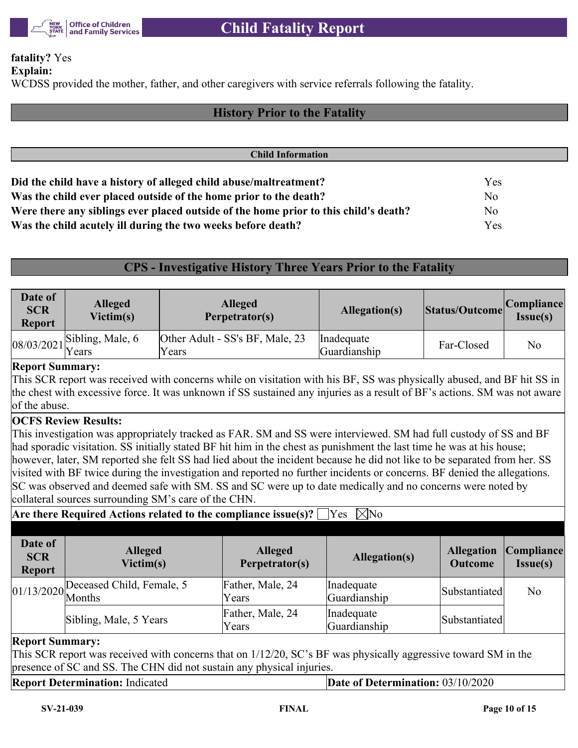

#### **fatality?** Yes **Explain:**

WCDSS provided the mother, father, and other caregivers with service referrals following the fatality.

# **History Prior to the Fatality**

| <b>Child Information</b>                                                             |                |  |
|--------------------------------------------------------------------------------------|----------------|--|
|                                                                                      |                |  |
| Did the child have a history of alleged child abuse/maltreatment?                    | <b>Yes</b>     |  |
| Was the child ever placed outside of the home prior to the death?                    | No             |  |
| Were there any siblings ever placed outside of the home prior to this child's death? | N <sub>o</sub> |  |
| Was the child acutely ill during the two weeks before death?                         | Yes            |  |

# **CPS - Investigative History Three Years Prior to the Fatality**

| Date of<br><b>SCR</b><br><b>Report</b> | <b>Alleged</b><br>Victim(s)                                | <b>Alleged</b><br>Perpetrator(s)         | Allegation(s)              | Status/Outcome | Compliance <br>Issue(s) |
|----------------------------------------|------------------------------------------------------------|------------------------------------------|----------------------------|----------------|-------------------------|
|                                        | $\begin{bmatrix} 08/03/2021 \\ \text{Years} \end{bmatrix}$ | Other Adult - SS's BF, Male, 23<br>Years | Inadequate<br>Guardianship | Far-Closed     | No                      |

### **Report Summary:**

This SCR report was received with concerns while on visitation with his BF, SS was physically abused, and BF hit SS in the chest with excessive force. It was unknown if SS sustained any injuries as a result of BF's actions. SM was not aware of the abuse.

# **OCFS Review Results:**

This investigation was appropriately tracked as FAR. SM and SS were interviewed. SM had full custody of SS and BF had sporadic visitation. SS initially stated BF hit him in the chest as punishment the last time he was at his house; however, later, SM reported she felt SS had lied about the incident because he did not like to be separated from her. SS visited with BF twice during the investigation and reported no further incidents or concerns. BF denied the allegations. SC was observed and deemed safe with SM. SS and SC were up to date medically and no concerns were noted by collateral sources surrounding SM's care of the CHN.

**Are there Required Actions related to the compliance issue(s)?**  $\Box$  Yes  $\Box$  No

| Date of<br><b>SCR</b><br><b>Report</b> | <b>Alleged</b><br>Victim(s)            | <b>Alleged</b><br>Perpetrator(s) | Allegation(s)              | <b>Allegation</b><br><b>Outcome</b> | Compliance <br>Issue(s) |
|----------------------------------------|----------------------------------------|----------------------------------|----------------------------|-------------------------------------|-------------------------|
|                                        | $01/13/2020$ Deceased Child, Female, 5 | Father, Male, 24<br>Years        | Inadequate<br>Guardianship | Substantiated                       | No                      |
|                                        | Sibling, Male, 5 Years                 | Father, Male, 24<br>Years        | Inadequate<br>Guardianship | Substantiated                       |                         |

### **Report Summary:**

This SCR report was received with concerns that on 1/12/20, SC's BF was physically aggressive toward SM in the presence of SC and SS. The CHN did not sustain any physical injuries.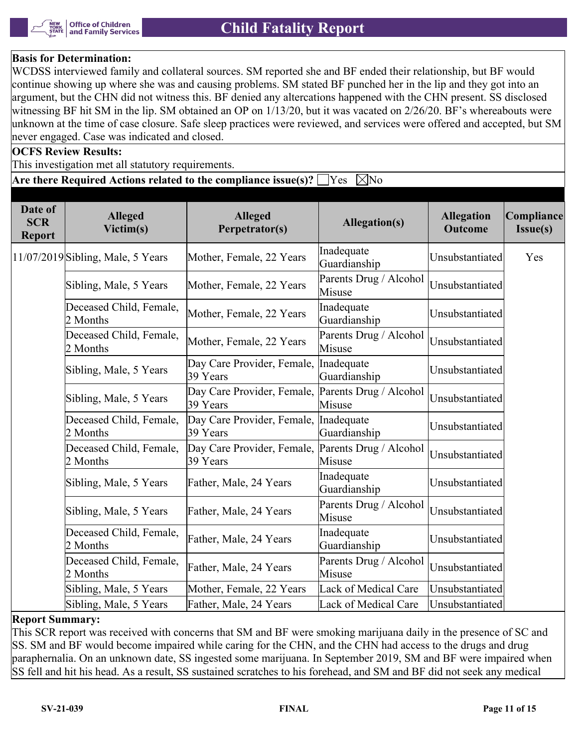

# **Basis for Determination:**

WCDSS interviewed family and collateral sources. SM reported she and BF ended their relationship, but BF would continue showing up where she was and causing problems. SM stated BF punched her in the lip and they got into an argument, but the CHN did not witness this. BF denied any altercations happened with the CHN present. SS disclosed witnessing BF hit SM in the lip. SM obtained an OP on 1/13/20, but it was vacated on 2/26/20. BF's whereabouts were unknown at the time of case closure. Safe sleep practices were reviewed, and services were offered and accepted, but SM never engaged. Case was indicated and closed.

#### **OCFS Review Results:**

This investigation met all statutory requirements.

## **Are there Required Actions related to the compliance issue(s)?**  $\Box$  Yes  $\Box$  No

| Date of<br><b>SCR</b><br><b>Report</b> | <b>Alleged</b><br>Victim(s)         | <b>Alleged</b><br>Perpetrator(s)                              | <b>Allegation(s)</b>             | <b>Allegation</b><br><b>Outcome</b> | Compliance<br>Issue(s) |
|----------------------------------------|-------------------------------------|---------------------------------------------------------------|----------------------------------|-------------------------------------|------------------------|
|                                        | $11/07/2019$ Sibling, Male, 5 Years | Mother, Female, 22 Years                                      | Inadequate<br>Guardianship       | Unsubstantiated                     | Yes                    |
|                                        | Sibling, Male, 5 Years              | Mother, Female, 22 Years                                      | Parents Drug / Alcohol<br>Misuse | Unsubstantiated                     |                        |
|                                        | Deceased Child, Female,<br>2 Months | Mother, Female, 22 Years                                      | Inadequate<br>Guardianship       | Unsubstantiated                     |                        |
|                                        | Deceased Child, Female,<br>2 Months | Mother, Female, 22 Years                                      | Parents Drug / Alcohol<br>Misuse | Unsubstantiated                     |                        |
|                                        | Sibling, Male, 5 Years              | Day Care Provider, Female,<br>39 Years                        | Inadequate<br>Guardianship       | Unsubstantiated                     |                        |
|                                        | Sibling, Male, 5 Years              | Day Care Provider, Female, Parents Drug / Alcohol<br>39 Years | Misuse                           | Unsubstantiated                     |                        |
|                                        | Deceased Child, Female,<br>2 Months | Day Care Provider, Female,<br>39 Years                        | Inadequate<br>Guardianship       | Unsubstantiated                     |                        |
|                                        | Deceased Child, Female,<br>2 Months | Day Care Provider, Female,<br>39 Years                        | Parents Drug / Alcohol<br>Misuse | Unsubstantiated                     |                        |
|                                        | Sibling, Male, 5 Years              | Father, Male, 24 Years                                        | Inadequate<br>Guardianship       | Unsubstantiated                     |                        |
|                                        | Sibling, Male, 5 Years              | Father, Male, 24 Years                                        | Parents Drug / Alcohol<br>Misuse | Unsubstantiated                     |                        |
|                                        | Deceased Child, Female,<br>2 Months | Father, Male, 24 Years                                        | Inadequate<br>Guardianship       | Unsubstantiated                     |                        |
|                                        | Deceased Child, Female,<br>2 Months | Father, Male, 24 Years                                        | Parents Drug / Alcohol<br>Misuse | Unsubstantiated                     |                        |
|                                        | Sibling, Male, 5 Years              | Mother, Female, 22 Years                                      | Lack of Medical Care             | Unsubstantiated                     |                        |
|                                        | Sibling, Male, 5 Years              | Father, Male, 24 Years                                        | Lack of Medical Care             | Unsubstantiated                     |                        |

### **Report Summary:**

This SCR report was received with concerns that SM and BF were smoking marijuana daily in the presence of SC and SS. SM and BF would become impaired while caring for the CHN, and the CHN had access to the drugs and drug paraphernalia. On an unknown date, SS ingested some marijuana. In September 2019, SM and BF were impaired when SS fell and hit his head. As a result, SS sustained scratches to his forehead, and SM and BF did not seek any medical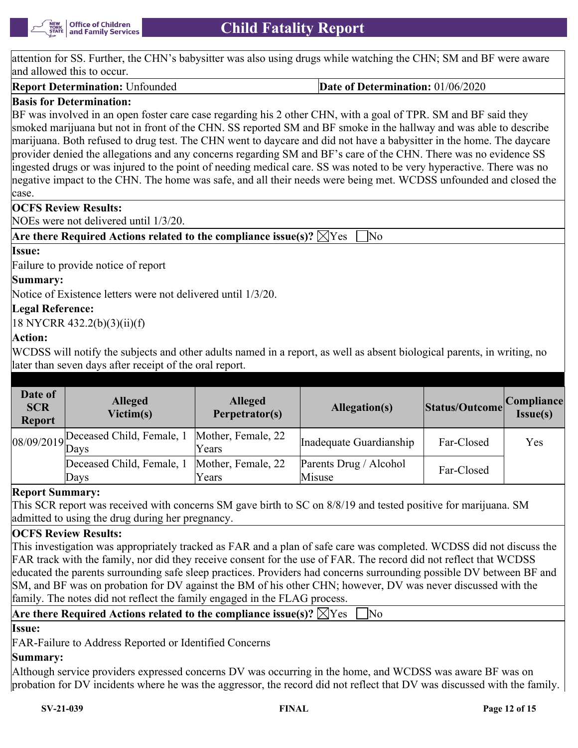

attention for SS. Further, the CHN's babysitter was also using drugs while watching the CHN; SM and BF were aware and allowed this to occur.

#### **Report Determination:** Unfounded **Date of Determination: 01/06/2020**

# **Basis for Determination:**

BF was involved in an open foster care case regarding his 2 other CHN, with a goal of TPR. SM and BF said they smoked marijuana but not in front of the CHN. SS reported SM and BF smoke in the hallway and was able to describe marijuana. Both refused to drug test. The CHN went to daycare and did not have a babysitter in the home. The daycare provider denied the allegations and any concerns regarding SM and BF's care of the CHN. There was no evidence SS ingested drugs or was injured to the point of needing medical care. SS was noted to be very hyperactive. There was no negative impact to the CHN. The home was safe, and all their needs were being met. WCDSS unfounded and closed the case.

### **OCFS Review Results:**

NOEs were not delivered until 1/3/20.

# **Are there Required Actions related to the compliance issue(s)?**  $\boxtimes$  Yes  $\Box$  No

### **Issue:**

Failure to provide notice of report

# **Summary:**

Notice of Existence letters were not delivered until 1/3/20.

# **Legal Reference:**

18 NYCRR 432.2(b)(3)(ii)(f)

# **Action:**

WCDSS will notify the subjects and other adults named in a report, as well as absent biological parents, in writing, no later than seven days after receipt of the oral report.

| Date of<br><b>SCR</b><br><b>Report</b> | <b>Alleged</b><br>Victim(s)            | <b>Alleged</b><br>Perpetrator(s) | Allegation(s)                    | Status/Outcome | Compliance <br>Issue(s) |
|----------------------------------------|----------------------------------------|----------------------------------|----------------------------------|----------------|-------------------------|
|                                        | $98/09/2019$ Deceased Child, Female, 1 | Mother, Female, 22<br>Years      | Inadequate Guardianship          | Far-Closed     | Yes                     |
|                                        | Deceased Child, Female, 1<br>Days      | Mother, Female, 22<br>Years      | Parents Drug / Alcohol<br>Misuse | Far-Closed     |                         |

### **Report Summary:**

This SCR report was received with concerns SM gave birth to SC on 8/8/19 and tested positive for marijuana. SM admitted to using the drug during her pregnancy.

# **OCFS Review Results:**

This investigation was appropriately tracked as FAR and a plan of safe care was completed. WCDSS did not discuss the FAR track with the family, nor did they receive consent for the use of FAR. The record did not reflect that WCDSS educated the parents surrounding safe sleep practices. Providers had concerns surrounding possible DV between BF and SM, and BF was on probation for DV against the BM of his other CHN; however, DV was never discussed with the family. The notes did not reflect the family engaged in the FLAG process.

| Are there Required Actions related to the compliance issue(s)? $\boxtimes$ Yes $\Box$ No |  |
|------------------------------------------------------------------------------------------|--|
|------------------------------------------------------------------------------------------|--|

# **Issue:**

FAR-Failure to Address Reported or Identified Concerns

# **Summary:**

Although service providers expressed concerns DV was occurring in the home, and WCDSS was aware BF was on probation for DV incidents where he was the aggressor, the record did not reflect that DV was discussed with the family.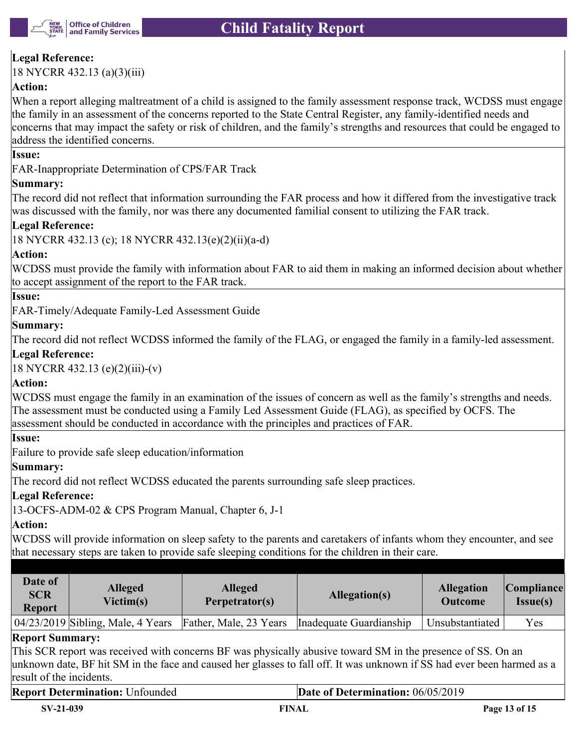

# **Legal Reference:**

18 NYCRR 432.13 (a)(3)(iii)

# **Action:**

When a report alleging maltreatment of a child is assigned to the family assessment response track, WCDSS must engage the family in an assessment of the concerns reported to the State Central Register, any family-identified needs and concerns that may impact the safety or risk of children, and the family's strengths and resources that could be engaged to address the identified concerns.

# **Issue:**

FAR-Inappropriate Determination of CPS/FAR Track

# **Summary:**

The record did not reflect that information surrounding the FAR process and how it differed from the investigative track was discussed with the family, nor was there any documented familial consent to utilizing the FAR track.

# **Legal Reference:**

18 NYCRR 432.13 (c); 18 NYCRR 432.13(e)(2)(ii)(a-d)

# **Action:**

WCDSS must provide the family with information about FAR to aid them in making an informed decision about whether to accept assignment of the report to the FAR track.

# **Issue:**

FAR-Timely/Adequate Family-Led Assessment Guide

# **Summary:**

The record did not reflect WCDSS informed the family of the FLAG, or engaged the family in a family-led assessment. **Legal Reference:**

# 18 NYCRR 432.13 (e)(2)(iii)-(v)

# **Action:**

WCDSS must engage the family in an examination of the issues of concern as well as the family's strengths and needs. The assessment must be conducted using a Family Led Assessment Guide (FLAG), as specified by OCFS. The assessment should be conducted in accordance with the principles and practices of FAR.

### **Issue:**

Failure to provide safe sleep education/information

# **Summary:**

The record did not reflect WCDSS educated the parents surrounding safe sleep practices.

### **Legal Reference:**

13-OCFS-ADM-02 & CPS Program Manual, Chapter 6, J-1

# **Action:**

WCDSS will provide information on sleep safety to the parents and caretakers of infants whom they encounter, and see that necessary steps are taken to provide safe sleeping conditions for the children in their care.

| Date of<br><b>SCR</b><br><b>Report</b> | <b>Alleged</b><br>Victim(s)         | <b>Alleged</b><br>Perpetrator(s) | Allegation(s)           | <b>Allegation</b><br><b>Outcome</b> | Compliance <br>Issue(s) |
|----------------------------------------|-------------------------------------|----------------------------------|-------------------------|-------------------------------------|-------------------------|
|                                        | $04/23/2019$ Sibling, Male, 4 Years | Father, Male, 23 Years           | Inadequate Guardianship | Unsubstantiated                     | Yes                     |

# **Report Summary:**

This SCR report was received with concerns BF was physically abusive toward SM in the presence of SS. On an unknown date, BF hit SM in the face and caused her glasses to fall off. It was unknown if SS had ever been harmed as a result of the incidents.

| <b>Report Determination: Unfounded</b> | Date of Determination: 06/05/2019 |
|----------------------------------------|-----------------------------------|
|                                        |                                   |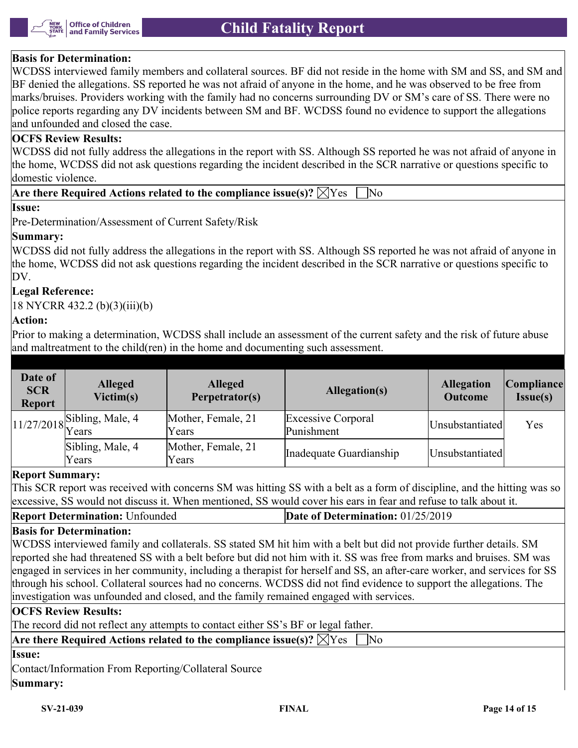

# **Basis for Determination:**

WCDSS interviewed family members and collateral sources. BF did not reside in the home with SM and SS, and SM and BF denied the allegations. SS reported he was not afraid of anyone in the home, and he was observed to be free from marks/bruises. Providers working with the family had no concerns surrounding DV or SM's care of SS. There were no police reports regarding any DV incidents between SM and BF. WCDSS found no evidence to support the allegations and unfounded and closed the case.

## **OCFS Review Results:**

WCDSS did not fully address the allegations in the report with SS. Although SS reported he was not afraid of anyone in the home, WCDSS did not ask questions regarding the incident described in the SCR narrative or questions specific to domestic violence.

**Are there Required Actions related to the compliance issue(s)?**  $\boxtimes$  **Yes**  $\Box$  **No** 

#### **Issue:**

Pre-Determination/Assessment of Current Safety/Risk

### **Summary:**

WCDSS did not fully address the allegations in the report with SS. Although SS reported he was not afraid of anyone in the home, WCDSS did not ask questions regarding the incident described in the SCR narrative or questions specific to DV.

# **Legal Reference:**

18 NYCRR 432.2 (b)(3)(iii)(b)

# **Action:**

Prior to making a determination, WCDSS shall include an assessment of the current safety and the risk of future abuse and maltreatment to the child(ren) in the home and documenting such assessment.

| Date of<br><b>SCR</b><br><b>Report</b> | <b>Alleged</b><br>Victim(s)   | <b>Alleged</b><br>Perpetrator(s) | Allegation(s)                    | <b>Allegation</b><br><b>Outcome</b> | Compliance <br>Issue(s) |
|----------------------------------------|-------------------------------|----------------------------------|----------------------------------|-------------------------------------|-------------------------|
|                                        | $11/27/2018$ Sibling, Male, 4 | Mother, Female, 21<br>Years      | Excessive Corporal<br>Punishment | Unsubstantiated                     | Yes                     |
|                                        | Sibling, Male, 4<br>Years     | Mother, Female, 21<br>Years      | Inadequate Guardianship          | Unsubstantiated                     |                         |

# **Report Summary:**

This SCR report was received with concerns SM was hitting SS with a belt as a form of discipline, and the hitting was so excessive, SS would not discuss it. When mentioned, SS would cover his ears in fear and refuse to talk about it.

# **Report Determination:** Unfounded **Date of Determination:** 01/25/2019

#### **Basis for Determination:**

WCDSS interviewed family and collaterals. SS stated SM hit him with a belt but did not provide further details. SM reported she had threatened SS with a belt before but did not him with it. SS was free from marks and bruises. SM was engaged in services in her community, including a therapist for herself and SS, an after-care worker, and services for SS through his school. Collateral sources had no concerns. WCDSS did not find evidence to support the allegations. The investigation was unfounded and closed, and the family remained engaged with services.

### **OCFS Review Results:**

The record did not reflect any attempts to contact either SS's BF or legal father.

|--|--|

## **Issue:**

Contact/Information From Reporting/Collateral Source

# **Summary:**